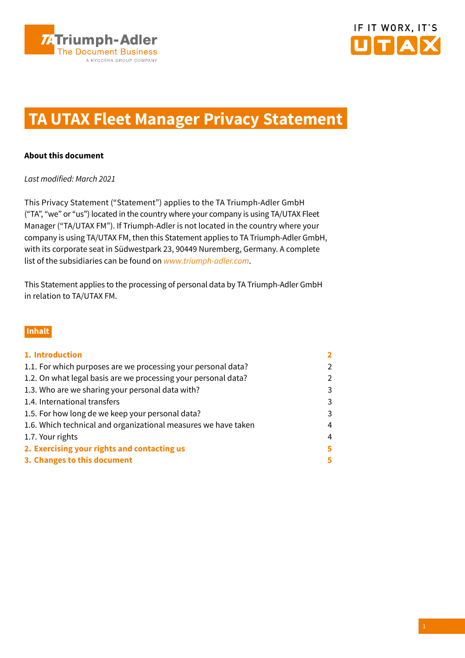



# **TA UTAX Fleet Manager Privacy Statement**

# **About this document**

Last modified: March 2021

This Privacy Statement ("Statement") applies to the TA Triumph-Adler GmbH ("TA", "we" or "us") located in the country where your company is using TA/UTAX Fleet Manager ("TA/UTAX FM"). If Triumph-Adler is not located in the country where your company is using TA/UTAX FM, then this Statement applies to TA Triumph-Adler GmbH, with its corporate seat in Südwestpark 23, 90449 Nuremberg, Germany. A complete list of the subsidiaries can be found on [www.triumph-adler.com](http://www.triumph-adler.com).

This Statement applies to the processing of personal data by TA Triumph-Adler GmbH in relation to TA/UTAX FM.

# **Inhalt**

| 1. Introduction                                                |               |
|----------------------------------------------------------------|---------------|
| 1.1. For which purposes are we processing your personal data?  | $\mathcal{P}$ |
| 1.2. On what legal basis are we processing your personal data? | $\mathcal{P}$ |
| 1.3. Who are we sharing your personal data with?               | 3             |
| 1.4. International transfers                                   | 3             |
| 1.5. For how long de we keep your personal data?               | 3             |
| 1.6. Which technical and organizational measures we have taken | 4             |
| 1.7. Your rights                                               | 4             |
| 2. Exercising your rights and contacting us                    | 5             |
| 3. Changes to this document                                    | 5             |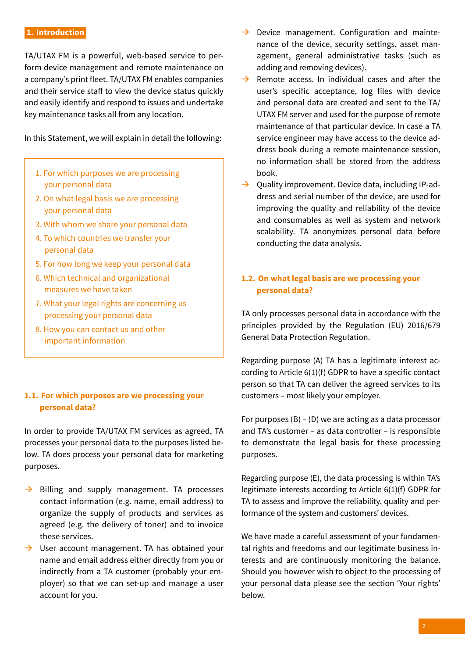## <span id="page-1-0"></span>**1. Introduction**

TA/UTAX FM is a powerful, web-based service to perform device management and remote maintenance on a company's print fleet. TA/UTAX FM enables companies and their service staff to view the device status quickly and easily identify and respond to issues and undertake key maintenance tasks all from any location.

In this Statement, we will explain in detail the following:

- 1. For which purposes we are processing your personal data
- 2. On what legal basis we are processing your personal data
- 3. With whom we share your personal data
- 4. To which countries we transfer your personal data
- 5. For how long we keep your personal data
- 6. Which technical and organizational measures we have taken
- 7. What your legal rights are concerning us processing your personal data
- 8. How you can contact us and other important information

# **1.1. For which purposes are we processing your personal data?**

In order to provide TA/UTAX FM services as agreed, TA processes your personal data to the purposes listed below. TA does process your personal data for marketing purposes.

- $\rightarrow$  Billing and supply management. TA processes contact information (e.g. name, email address) to organize the supply of products and services as agreed (e.g. the delivery of toner) and to invoice these services.
- $\rightarrow$  User account management. TA has obtained your name and email address either directly from you or indirectly from a TA customer (probably your employer) so that we can set-up and manage a user account for you.
- $\rightarrow$  Device management. Configuration and maintenance of the device, security settings, asset management, general administrative tasks (such as adding and removing devices).
- $\rightarrow$  Remote access. In individual cases and after the user's specific acceptance, log files with device and personal data are created and sent to the TA/ UTAX FM server and used for the purpose of remote maintenance of that particular device. In case a TA service engineer may have access to the device address book during a remote maintenance session, no information shall be stored from the address book.
- $\rightarrow$  Ouality improvement. Device data, including IP-address and serial number of the device, are used for improving the quality and reliability of the device and consumables as well as system and network scalability. TA anonymizes personal data before conducting the data analysis.

# **1.2. On what legal basis are we processing your personal data?**

TA only processes personal data in accordance with the principles provided by the Regulation (EU) 2016/679 General Data Protection Regulation.

Regarding purpose (A) TA has a legitimate interest according to Article 6(1)(f) GDPR to have a specific contact person so that TA can deliver the agreed services to its customers – most likely your employer.

For purposes  $(B) - (D)$  we are acting as a data processor and TA's customer – as data controller – is responsible to demonstrate the legal basis for these processing purposes.

Regarding purpose (E), the data processing is within TA's legitimate interests according to Article 6(1)(f) GDPR for TA to assess and improve the reliability, quality and performance of the system and customers' devices.

We have made a careful assessment of your fundamental rights and freedoms and our legitimate business interests and are continuously monitoring the balance. Should you however wish to object to the processing of your personal data please see the section 'Your rights' below.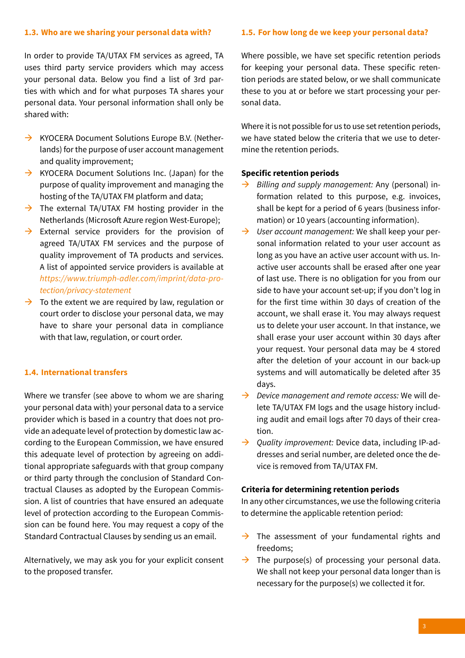## <span id="page-2-0"></span>**1.3. Who are we sharing your personal data with?**

In order to provide TA/UTAX FM services as agreed, TA uses third party service providers which may access your personal data. Below you find a list of 3rd parties with which and for what purposes TA shares your personal data. Your personal information shall only be shared with:

- $\rightarrow$  KYOCERA Document Solutions Europe B.V. (Netherlands) for the purpose of user account management and quality improvement;
- $\rightarrow$  KYOCERA Document Solutions Inc. (Japan) for the purpose of quality improvement and managing the hosting of the TA/UTAX FM platform and data;
- $\rightarrow$  The external TA/UTAX FM hosting provider in the Netherlands (Microsoft Azure region West-Europe);
- $\rightarrow$  External service providers for the provision of agreed TA/UTAX FM services and the purpose of quality improvement of TA products and services. A list of appointed service providers is available at [https://www.triumph-adler.com/imprint/data-pro](https://www.triumph-adler.com/imprint/data-protection/privacy-statement)[tection/privacy-statement](https://www.triumph-adler.com/imprint/data-protection/privacy-statement)
- $\rightarrow$  To the extent we are required by law, regulation or court order to disclose your personal data, we may have to share your personal data in compliance with that law, regulation, or court order.

## **1.4. International transfers**

Where we transfer (see above to whom we are sharing your personal data with) your personal data to a service provider which is based in a country that does not provide an adequate level of protection by domestic law according to the European Commission, we have ensured this adequate level of protection by agreeing on additional appropriate safeguards with that group company or third party through the conclusion of Standard Contractual Clauses as adopted by the European Commission. A list of countries that have ensured an adequate level of protection according to the European Commission can be found here. You may request a copy of the Standard Contractual Clauses by sending us an email.

Alternatively, we may ask you for your explicit consent to the proposed transfer.

#### **1.5. For how long de we keep your personal data?**

Where possible, we have set specific retention periods for keeping your personal data. These specific retention periods are stated below, or we shall communicate these to you at or before we start processing your personal data.

Where it is not possible for us to use set retention periods, we have stated below the criteria that we use to determine the retention periods.

#### **Specific retention periods**

- $\rightarrow$  Billing and supply management: Any (personal) information related to this purpose, e.g. invoices, shall be kept for a period of 6 years (business information) or 10 years (accounting information).
- $\rightarrow$  User account management: We shall keep your personal information related to your user account as long as you have an active user account with us. Inactive user accounts shall be erased after one year of last use. There is no obligation for you from our side to have your account set-up; if you don't log in for the first time within 30 days of creation of the account, we shall erase it. You may always request us to delete your user account. In that instance, we shall erase your user account within 30 days after your request. Your personal data may be 4 stored after the deletion of your account in our back-up systems and will automatically be deleted after 35 days.
- $\rightarrow$  Device management and remote access: We will delete TA/UTAX FM logs and the usage history including audit and email logs after 70 days of their creation.
- $\rightarrow$  Quality improvement: Device data, including IP-addresses and serial number, are deleted once the device is removed from TA/UTAX FM.

#### **Criteria for determining retention periods**

In any other circumstances, we use the following criteria to determine the applicable retention period:

- $\rightarrow$  The assessment of your fundamental rights and freedoms;
- $\rightarrow$  The purpose(s) of processing your personal data. We shall not keep your personal data longer than is necessary for the purpose(s) we collected it for.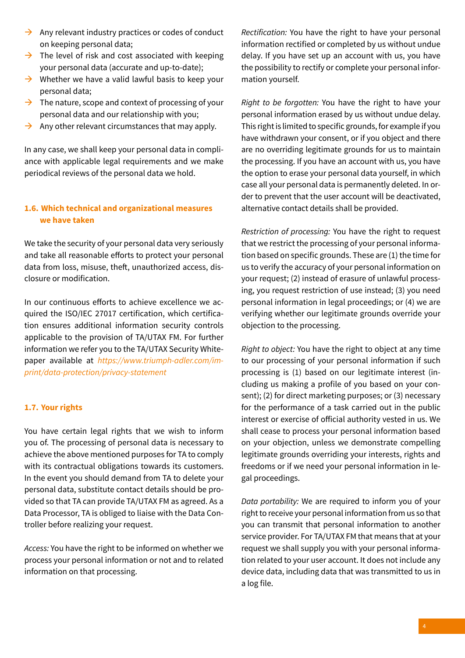- <span id="page-3-0"></span> $\rightarrow$  Any relevant industry practices or codes of conduct on keeping personal data;
- $\rightarrow$  The level of risk and cost associated with keeping your personal data (accurate and up-to-date);
- $\rightarrow$  Whether we have a valid lawful basis to keep your personal data;
- $\rightarrow$  The nature, scope and context of processing of your personal data and our relationship with you;
- $\rightarrow$  Any other relevant circumstances that may apply.

In any case, we shall keep your personal data in compliance with applicable legal requirements and we make periodical reviews of the personal data we hold.

# **1.6. Which technical and organizational measures we have taken**

We take the security of your personal data very seriously and take all reasonable efforts to protect your personal data from loss, misuse, theft, unauthorized access, disclosure or modification.

In our continuous efforts to achieve excellence we acquired the ISO/IEC 27017 certification, which certification ensures additional information security controls applicable to the provision of TA/UTAX FM. For further information we refer you to the TA/UTAX Security Whitepaper available at [https://www.triumph-adler.com/im](https://www.triumph-adler.com/imprint/data-protection/privacy-statement)[print/data-protection/privacy-statement](https://www.triumph-adler.com/imprint/data-protection/privacy-statement)

# **1.7. Your rights**

You have certain legal rights that we wish to inform you of. The processing of personal data is necessary to achieve the above mentioned purposes for TA to comply with its contractual obligations towards its customers. In the event you should demand from TA to delete your personal data, substitute contact details should be provided so that TA can provide TA/UTAX FM as agreed. As a Data Processor, TA is obliged to liaise with the Data Controller before realizing your request.

Access: You have the right to be informed on whether we process your personal information or not and to related information on that processing.

Rectification: You have the right to have your personal information rectified or completed by us without undue delay. If you have set up an account with us, you have the possibility to rectify or complete your personal information yourself.

Right to be forgotten: You have the right to have your personal information erased by us without undue delay. This right is limited to specific grounds, for example if you have withdrawn your consent, or if you object and there are no overriding legitimate grounds for us to maintain the processing. If you have an account with us, you have the option to erase your personal data yourself, in which case all your personal data is permanently deleted. In order to prevent that the user account will be deactivated, alternative contact details shall be provided.

Restriction of processing: You have the right to request that we restrict the processing of your personal information based on specific grounds. These are (1) the time for us to verify the accuracy of your personal information on your request; (2) instead of erasure of unlawful processing, you request restriction of use instead; (3) you need personal information in legal proceedings; or (4) we are verifying whether our legitimate grounds override your objection to the processing.

Right to object: You have the right to object at any time to our processing of your personal information if such processing is (1) based on our legitimate interest (including us making a profile of you based on your consent); (2) for direct marketing purposes; or (3) necessary for the performance of a task carried out in the public interest or exercise of official authority vested in us. We shall cease to process your personal information based on your objection, unless we demonstrate compelling legitimate grounds overriding your interests, rights and freedoms or if we need your personal information in legal proceedings.

Data portability: We are required to inform you of your right to receive your personal information from us so that you can transmit that personal information to another service provider. For TA/UTAX FM that means that at your request we shall supply you with your personal information related to your user account. It does not include any device data, including data that was transmitted to us in a log file.